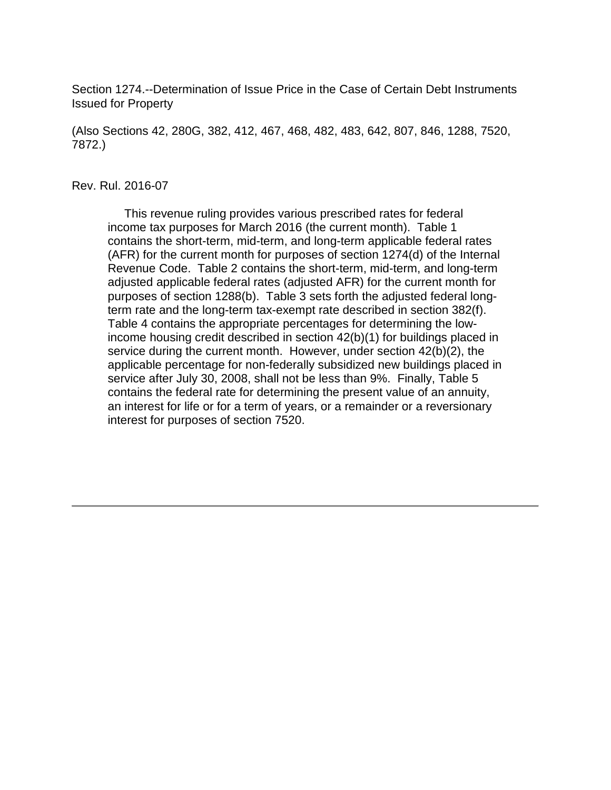Section 1274.--Determination of Issue Price in the Case of Certain Debt Instruments Issued for Property

(Also Sections 42, 280G, 382, 412, 467, 468, 482, 483, 642, 807, 846, 1288, 7520, 7872.)

#### Rev. Rul. 2016-07

 This revenue ruling provides various prescribed rates for federal income tax purposes for March 2016 (the current month). Table 1 contains the short-term, mid-term, and long-term applicable federal rates (AFR) for the current month for purposes of section 1274(d) of the Internal Revenue Code. Table 2 contains the short-term, mid-term, and long-term adjusted applicable federal rates (adjusted AFR) for the current month for purposes of section 1288(b). Table 3 sets forth the adjusted federal longterm rate and the long-term tax-exempt rate described in section 382(f). Table 4 contains the appropriate percentages for determining the lowincome housing credit described in section 42(b)(1) for buildings placed in service during the current month. However, under section 42(b)(2), the applicable percentage for non-federally subsidized new buildings placed in service after July 30, 2008, shall not be less than 9%. Finally, Table 5 contains the federal rate for determining the present value of an annuity, an interest for life or for a term of years, or a remainder or a reversionary interest for purposes of section 7520.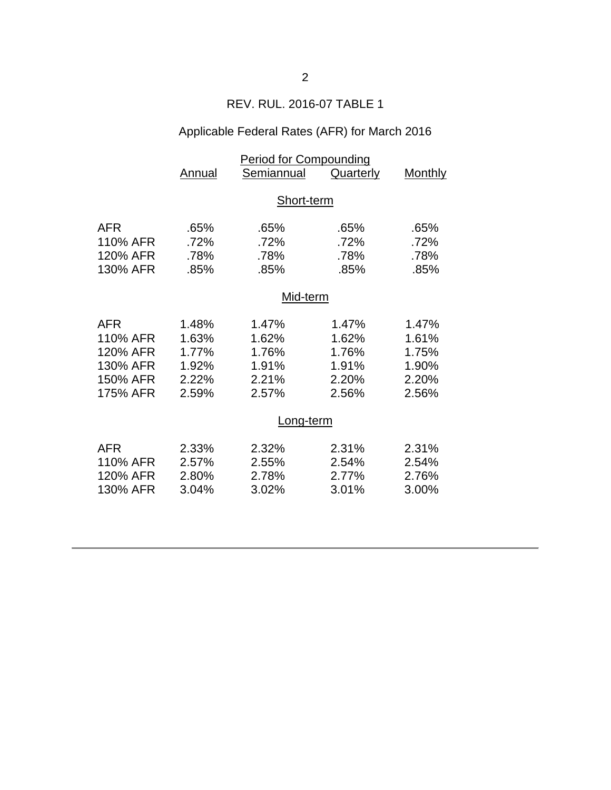# REV. RUL. 2016-07 TABLE 1

# Applicable Federal Rates (AFR) for March 2016

|                                                                        | <b>Period for Compounding</b>                      |                                                                 |                                                    |                                                    |  |
|------------------------------------------------------------------------|----------------------------------------------------|-----------------------------------------------------------------|----------------------------------------------------|----------------------------------------------------|--|
|                                                                        | Annual                                             | Semiannual                                                      | <b>Quarterly</b>                                   | <b>Monthly</b>                                     |  |
|                                                                        | Short-term                                         |                                                                 |                                                    |                                                    |  |
| <b>AFR</b><br>110% AFR<br>120% AFR<br>130% AFR                         | .65%<br>.72%<br>.78%<br>.85%                       | .65%<br>.72%<br>.78%<br>.85%                                    | .65%<br>.72%<br>.78%<br>.85%                       | .65%<br>.72%<br>.78%<br>.85%                       |  |
|                                                                        | Mid-term                                           |                                                                 |                                                    |                                                    |  |
| <b>AFR</b><br>110% AFR<br>120% AFR<br>130% AFR<br>150% AFR<br>175% AFR | 1.48%<br>1.63%<br>1.77%<br>1.92%<br>2.22%<br>2.59% | 1.47%<br>1.62%<br>1.76%<br>1.91%<br>2.21%<br>2.57%<br>Long-term | 1.47%<br>1.62%<br>1.76%<br>1.91%<br>2.20%<br>2.56% | 1.47%<br>1.61%<br>1.75%<br>1.90%<br>2.20%<br>2.56% |  |
| <b>AFR</b><br>110% AFR<br>120% AFR<br>130% AFR                         | 2.33%<br>2.57%<br>2.80%<br>3.04%                   | 2.32%<br>2.55%<br>2.78%<br>3.02%                                | 2.31%<br>2.54%<br>2.77%<br>3.01%                   | 2.31%<br>2.54%<br>2.76%<br>3.00%                   |  |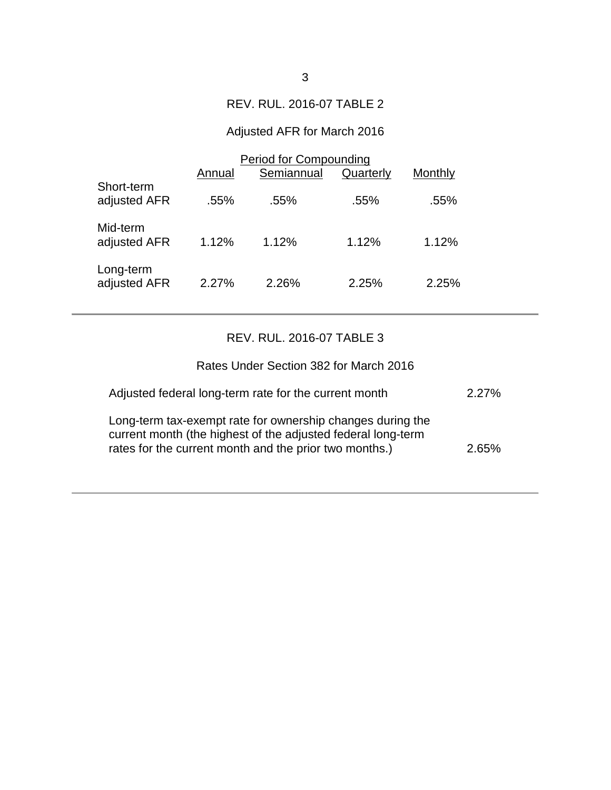## REV. RUL. 2016-07 TABLE 2

# Adjusted AFR for March 2016

|                            | <b>Period for Compounding</b> |            |           |         |  |
|----------------------------|-------------------------------|------------|-----------|---------|--|
|                            | Annual                        | Semiannual | Quarterly | Monthly |  |
| Short-term<br>adjusted AFR | .55%                          | $.55\%$    | .55%      | .55%    |  |
| Mid-term<br>adjusted AFR   | 1.12%                         | 1.12%      | 1.12%     | 1.12%   |  |
| Long-term<br>adjusted AFR  | 2.27%                         | 2.26%      | 2.25%     | 2.25%   |  |

## REV. RUL. 2016-07 TABLE 3

| Rates Under Section 382 for March 2016                                                                                                                                               |          |
|--------------------------------------------------------------------------------------------------------------------------------------------------------------------------------------|----------|
| Adjusted federal long-term rate for the current month                                                                                                                                | $2.27\%$ |
| Long-term tax-exempt rate for ownership changes during the<br>current month (the highest of the adjusted federal long-term<br>rates for the current month and the prior two months.) | 265%     |